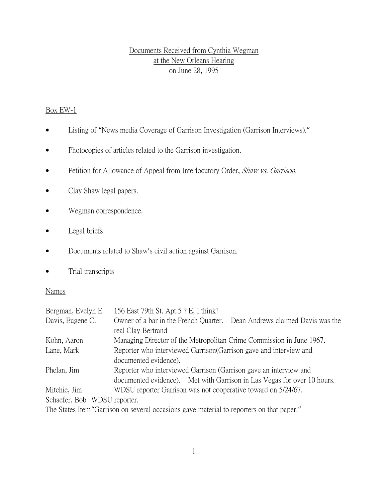# Documents Received from Cynthia Wegman at the New Orleans Hearing on June 28, 1995

## Box EW-1

- Listing of "News media Coverage of Garrison Investigation (Garrison Interviews)."
- Photocopies of articles related to the Garrison investigation.
- Petition for Allowance of Appeal from Interlocutory Order, Shaw vs. Garrison.
- Clay Shaw legal papers.
- Wegman correspondence.
- Legal briefs
- Documents related to Shaw's civil action against Garrison.
- Trial transcripts

#### Names

| Bergman, Evelyn E.                                                               | 156 East 79th St. Apt.5 ? E, I think!                                    |  |  |
|----------------------------------------------------------------------------------|--------------------------------------------------------------------------|--|--|
| Davis, Eugene C.                                                                 | Owner of a bar in the French Quarter. Dean Andrews claimed Davis was the |  |  |
|                                                                                  | real Clay Bertrand                                                       |  |  |
| Kohn, Aaron                                                                      | Managing Director of the Metropolitan Crime Commission in June 1967.     |  |  |
| Lane, Mark                                                                       | Reporter who interviewed Garrison Garrison gave and interview and        |  |  |
|                                                                                  | documented evidence).                                                    |  |  |
| Reporter who interviewed Garrison (Garrison gave an interview and<br>Phelan, Jim |                                                                          |  |  |
|                                                                                  | documented evidence). Met with Garrison in Las Vegas for over 10 hours.  |  |  |
| Mitchie, Jim                                                                     | WDSU reporter Garrison was not cooperative toward on 5/24/67.            |  |  |
| Schaefer, Bob WDSU reporter.                                                     |                                                                          |  |  |
|                                                                                  |                                                                          |  |  |

The States Item"Garrison on several occasions gave material to reporters on that paper."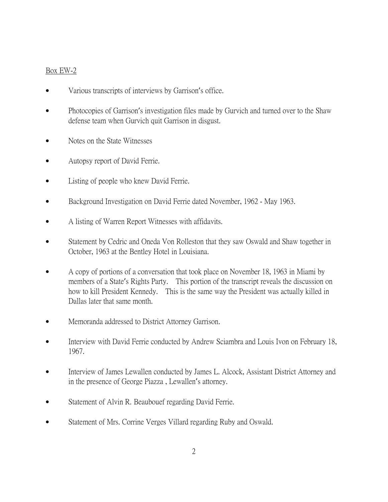## Box EW-2

- Various transcripts of interviews by Garrison's office.
- Photocopies of Garrison's investigation files made by Gurvich and turned over to the Shaw defense team when Gurvich quit Garrison in disgust.
- Notes on the State Witnesses
- Autopsy report of David Ferrie.
- Listing of people who knew David Ferrie.
- Background Investigation on David Ferrie dated November, 1962 May 1963.
- A listing of Warren Report Witnesses with affidavits.
- Statement by Cedric and Oneda Von Rolleston that they saw Oswald and Shaw together in October, 1963 at the Bentley Hotel in Louisiana.
- A copy of portions of a conversation that took place on November 18, 1963 in Miami by members of a State's Rights Party. This portion of the transcript reveals the discussion on how to kill President Kennedy. This is the same way the President was actually killed in Dallas later that same month.
- Memoranda addressed to District Attorney Garrison.
- Interview with David Ferrie conducted by Andrew Sciambra and Louis Ivon on February 18, 1967.
- Interview of James Lewallen conducted by James L. Alcock, Assistant District Attorney and in the presence of George Piazza , Lewallen's attorney.
- Statement of Alvin R. Beaubouef regarding David Ferrie.
- Statement of Mrs. Corrine Verges Villard regarding Ruby and Oswald.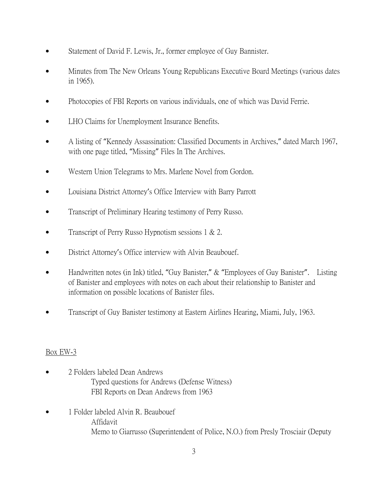- Statement of David F. Lewis, Jr., former employee of Guy Bannister.
- Minutes from The New Orleans Young Republicans Executive Board Meetings (various dates in 1965).
- Photocopies of FBI Reports on various individuals, one of which was David Ferrie.
- LHO Claims for Unemployment Insurance Benefits.
- A listing of "Kennedy Assassination: Classified Documents in Archives," dated March 1967, with one page titled, "Missing" Files In The Archives.
- Western Union Telegrams to Mrs. Marlene Novel from Gordon.
- Louisiana District Attorney's Office Interview with Barry Parrott
- Transcript of Preliminary Hearing testimony of Perry Russo.
- Transcript of Perry Russo Hypnotism sessions  $1 \& 2$ .
- District Attorney's Office interview with Alvin Beaubouef.
- Handwritten notes (in Ink) titled, "Guy Banister," & "Employees of Guy Banister". Listing of Banister and employees with notes on each about their relationship to Banister and information on possible locations of Banister files.
- Transcript of Guy Banister testimony at Eastern Airlines Hearing, Miami, July, 1963.

#### Box EW-3

- 2 Folders labeled Dean Andrews Typed questions for Andrews (Defense Witness) FBI Reports on Dean Andrews from 1963
- 1 Folder labeled Alvin R. Beaubouef Affidavit Memo to Giarrusso (Superintendent of Police, N.O.) from Presly Trosciair (Deputy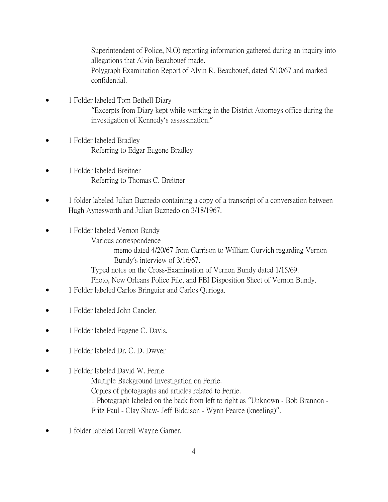Superintendent of Police, N.O) reporting information gathered during an inquiry into allegations that Alvin Beaubouef made. Polygraph Examination Report of Alvin R. Beaubouef, dated 5/10/67 and marked confidential.

- 1 Folder labeled Tom Bethell Diary "Excerpts from Diary kept while working in the District Attorneys office during the investigation of Kennedy's assassination."
- 1 Folder labeled Bradley Referring to Edgar Eugene Bradley
- 1 Folder labeled Breitner Referring to Thomas C. Breitner
- 1 folder labeled Julian Buznedo containing a copy of a transcript of a conversation between Hugh Aynesworth and Julian Buznedo on 3/18/1967.
- 1 Folder labeled Vernon Bundy Various correspondence memo dated 4/20/67 from Garrison to William Gurvich regarding Vernon Bundy's interview of 3/16/67. Typed notes on the Cross-Examination of Vernon Bundy dated 1/15/69. Photo, New Orleans Police File, and FBI Disposition Sheet of Vernon Bundy.
- 1 Folder labeled Carlos Bringuier and Carlos Qurioga.
- 1 Folder labeled John Cancler.
- 1 Folder labeled Eugene C. Davis.
- 1 Folder labeled Dr. C. D. Dwyer
- 1 Folder labeled David W. Ferrie Multiple Background Investigation on Ferrie. Copies of photographs and articles related to Ferrie. 1 Photograph labeled on the back from left to right as "Unknown - Bob Brannon - Fritz Paul - Clay Shaw- Jeff Biddison - Wynn Pearce (kneeling)".
- 1 folder labeled Darrell Wayne Garner.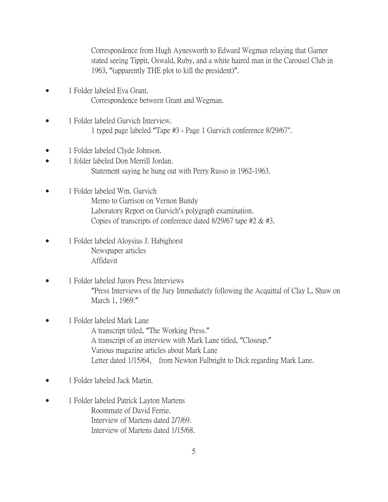Correspondence from Hugh Aynesworth to Edward Wegman relaying that Garner stated seeing Tippit, Oswald, Ruby, and a white haired man in the Carousel Club in 1963, "(apparently THE plot to kill the president)".

- 1 Folder labeled Eva Grant. Correspondence between Grant and Wegman.
- 1 Folder labeled Gurvich Interview. 1 typed page labeled "Tape #3 - Page 1 Gurvich conference 8/29/67".
- 1 Folder labeled Clyde Johnson.
- 1 folder labeled Don Merrill Jordan. Statement saying he hung out with Perry Russo in 1962-1963.
- 1 Folder labeled Wm. Gurvich Memo to Garrison on Vernon Bundy Laboratory Report on Gurvich's polygraph examination. Copies of transcripts of conference dated 8/29/67 tape #2 & #3.
- 1 Folder labeled Aloysius J. Habighorst Newspaper articles Affidavit
- 1 Folder labeled Jurors Press Interviews "Press Interviews of the Jury Immediately following the Acquittal of Clay L. Shaw on March 1, 1969."
- 1 Folder labeled Mark Lane A transcript titled, "The Working Press." A transcript of an interview with Mark Lane titled, "Closeup." Various magazine articles about Mark Lane Letter dated 1/15/64, from Newton Fulbright to Dick regarding Mark Lane.
- 1 Folder labeled Jack Martin.
- 1 Folder labeled Patrick Layton Martens Roommate of David Ferrie. Interview of Martens dated 2/7/69. Interview of Martens dated 1/15/68.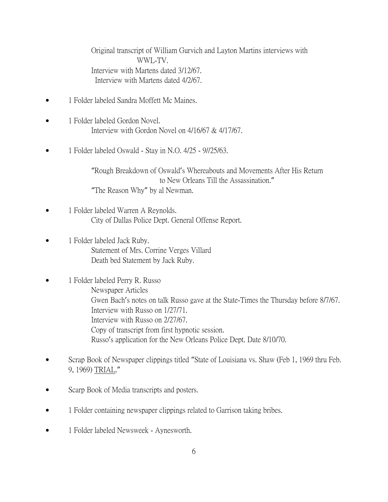Original transcript of William Gurvich and Layton Martins interviews with WWL-TV. Interview with Martens dated 3/12/67. Interview with Martens dated 4/2/67.

- 1 Folder labeled Sandra Moffett Mc Maines.
- 1 Folder labeled Gordon Novel. Interview with Gordon Novel on 4/16/67 & 4/17/67.
- 1 Folder labeled Oswald Stay in N.O. 4/25 9//25/63.

"Rough Breakdown of Oswald's Whereabouts and Movements After His Return to New Orleans Till the Assassination." "The Reason Why" by al Newman.

- 1 Folder labeled Warren A Reynolds. City of Dallas Police Dept. General Offense Report.
- 1 Folder labeled Jack Ruby. Statement of Mrs. Corrine Verges Villard Death bed Statement by Jack Ruby.
- 1 Folder labeled Perry R. Russo Newspaper Articles Gwen Bach's notes on talk Russo gave at the State-Times the Thursday before 8/7/67. Interview with Russo on 1/27/71. Interview with Russo on 2/27/67. Copy of transcript from first hypnotic session. Russo's application for the New Orleans Police Dept. Date 8/10/70.
- Scrap Book of Newspaper clippings titled "State of Louisiana vs. Shaw (Feb 1, 1969 thru Feb. 9, 1969) TRIAL."
- Scarp Book of Media transcripts and posters.
- 1 Folder containing newspaper clippings related to Garrison taking bribes.
- 1 Folder labeled Newsweek Aynesworth.